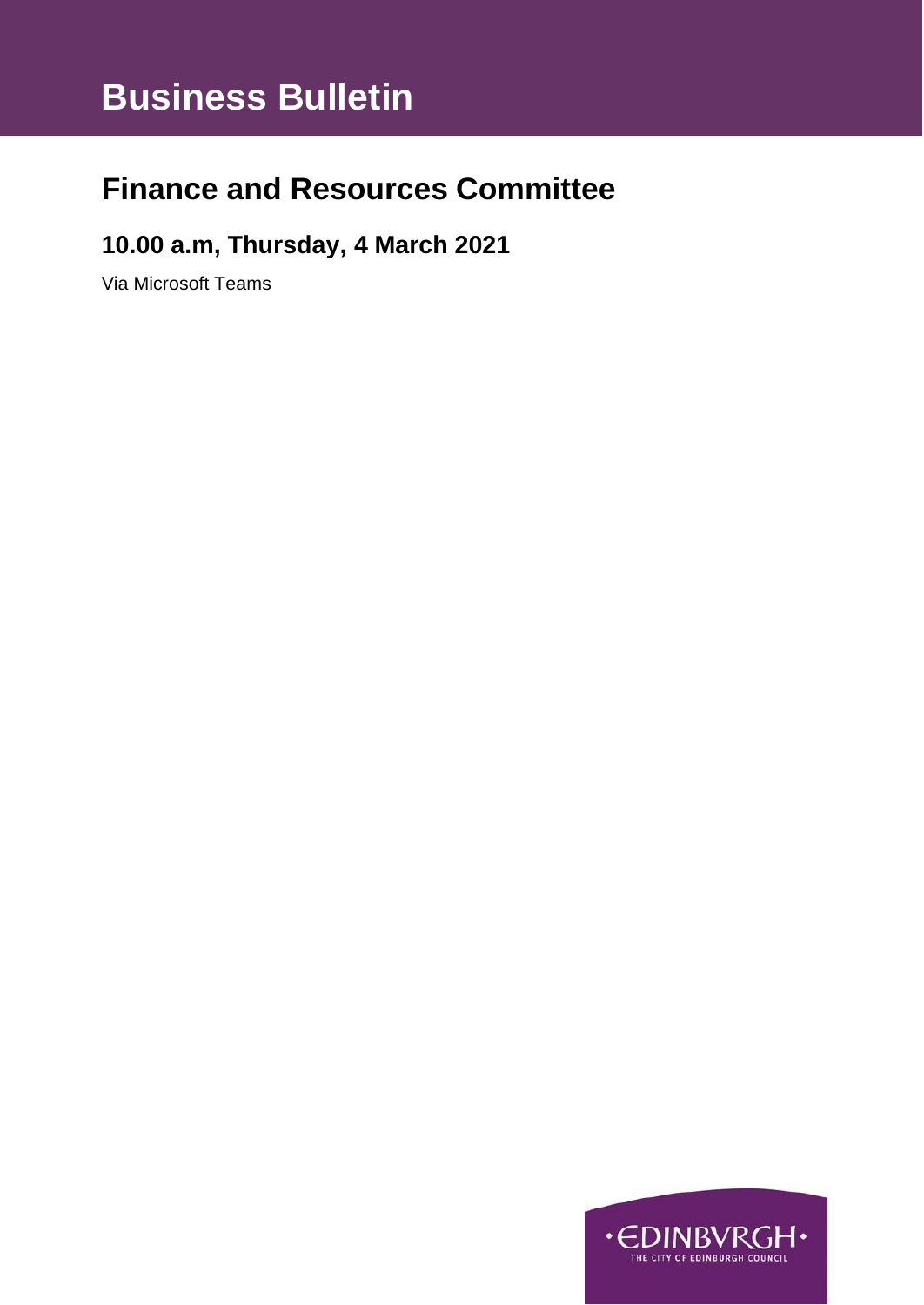# **Business Bulletin**

## **Finance and Resources Committee**

### **10.00 a.m, Thursday, 4 March 2021**

Via Microsoft Teams

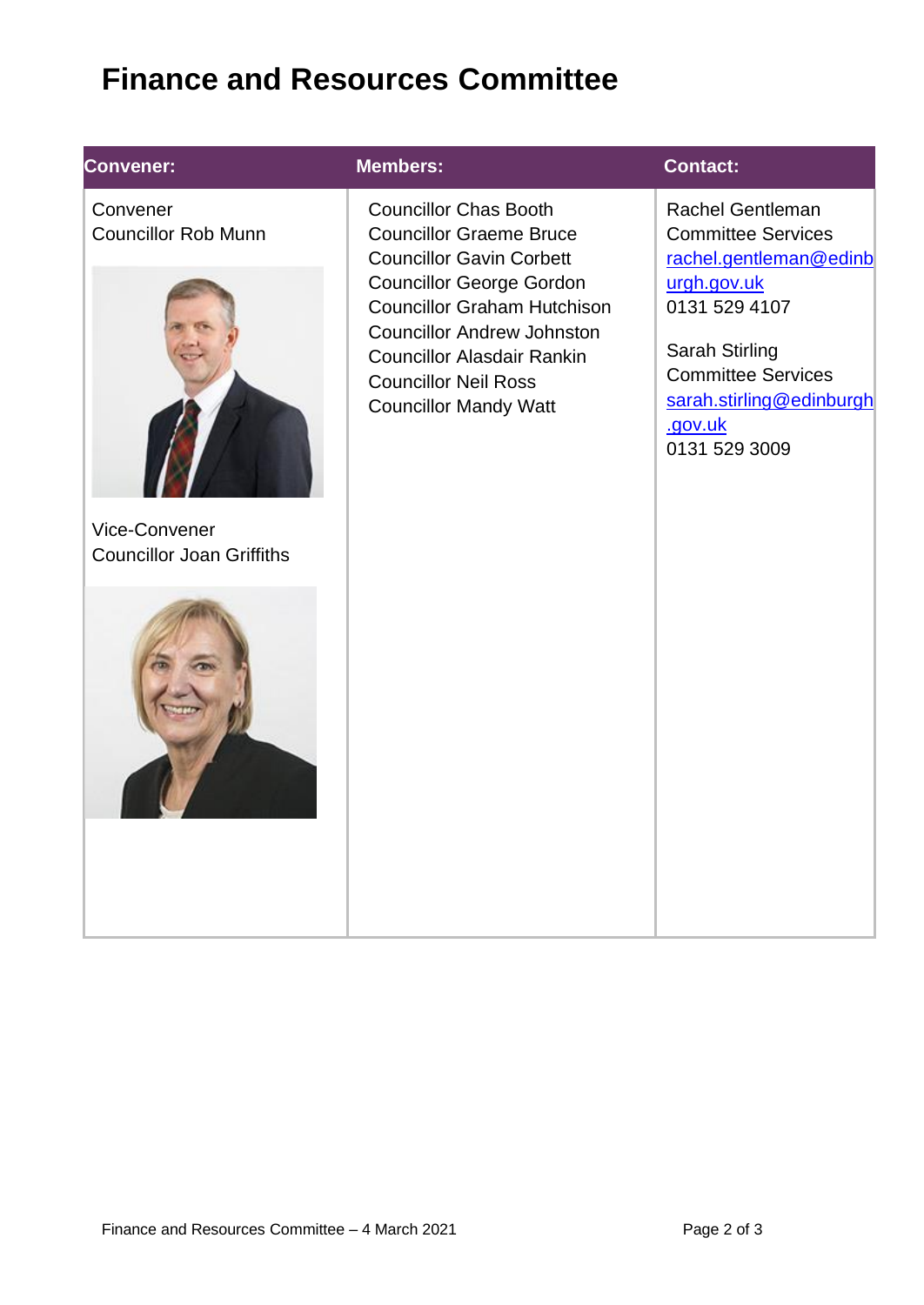# **Finance and Resources Committee**

### **Convener:**

**Convener:** Convener Councillor Rob Munn



Vice-Convener Councillor Joan Griffiths



#### **Members: Contact:**

Councillor Chas Booth Councillor Graeme Bruce Councillor Gavin Corbett Councillor George Gordon Councillor Graham Hutchison Councillor Andrew Johnston Councillor Alasdair Rankin Councillor Neil Ross Councillor Mandy Watt

[Rachel](mailto:Blair.Ritchie@edinburgh.gov.uk) Gentleman Committee Services [rachel.gentleman@edinb](mailto:rachel.gentleman@edinburgh.gov.uk) [urgh.gov.uk](mailto:rachel.gentleman@edinburgh.gov.uk) 0131 529 4107

Sarah Stirling Committee Services [sarah.stirling@edinburgh](mailto:sarah.stirling@edinburgh.gov.uk) [.gov.uk](mailto:sarah.stirling@edinburgh.gov.uk) 0131 529 3009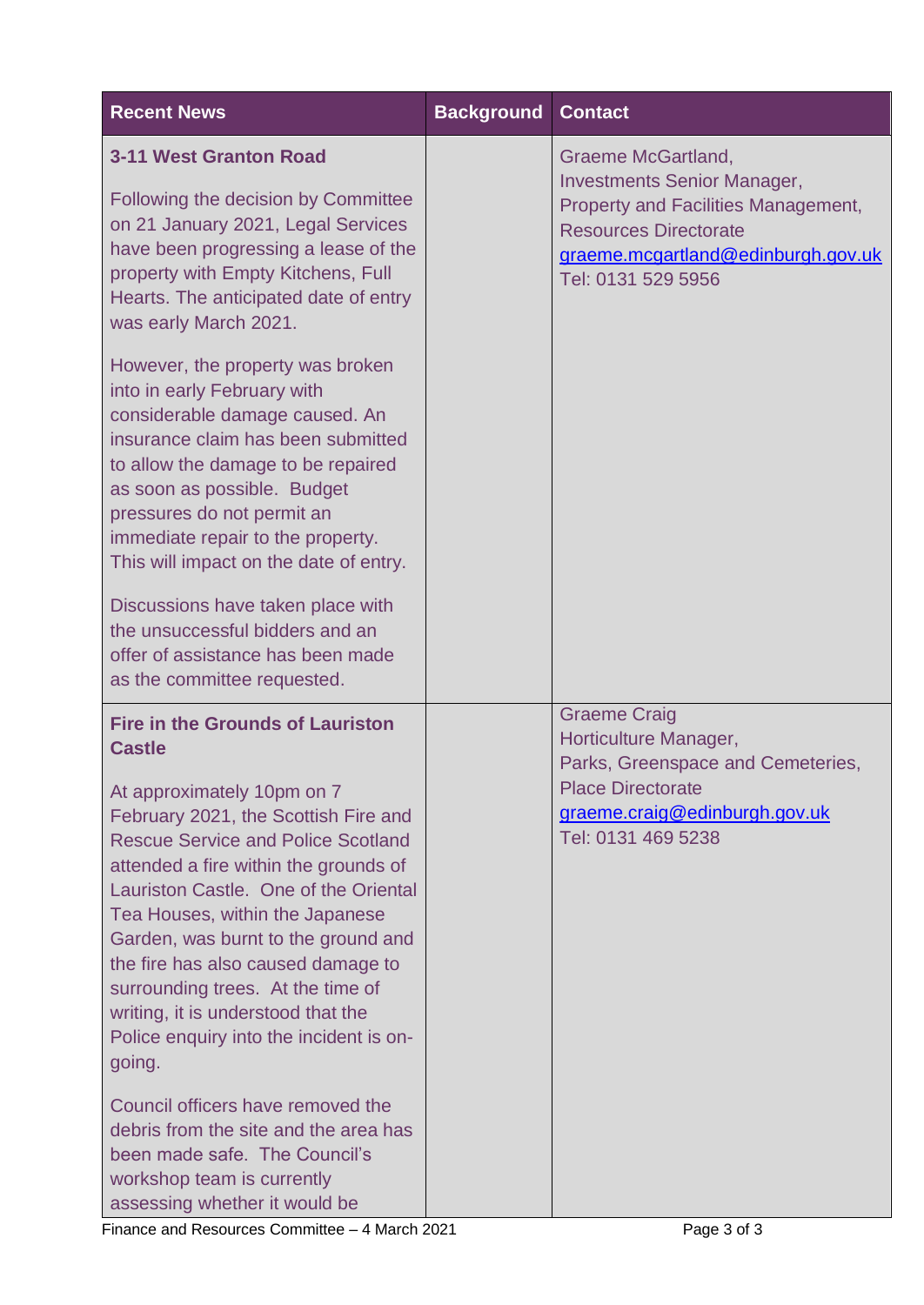| <b>Recent News</b>                                                                                                                                                                                                                                                                                                                                                                                                                                                                                            | <b>Background</b> | <b>Contact</b>                                                                                                                                                                                            |
|---------------------------------------------------------------------------------------------------------------------------------------------------------------------------------------------------------------------------------------------------------------------------------------------------------------------------------------------------------------------------------------------------------------------------------------------------------------------------------------------------------------|-------------------|-----------------------------------------------------------------------------------------------------------------------------------------------------------------------------------------------------------|
| <b>3-11 West Granton Road</b><br>Following the decision by Committee<br>on 21 January 2021, Legal Services<br>have been progressing a lease of the<br>property with Empty Kitchens, Full<br>Hearts. The anticipated date of entry<br>was early March 2021.                                                                                                                                                                                                                                                    |                   | <b>Graeme McGartland,</b><br><b>Investments Senior Manager,</b><br><b>Property and Facilities Management,</b><br><b>Resources Directorate</b><br>graeme.mcgartland@edinburgh.gov.uk<br>Tel: 0131 529 5956 |
| However, the property was broken<br>into in early February with<br>considerable damage caused. An<br>insurance claim has been submitted<br>to allow the damage to be repaired<br>as soon as possible. Budget<br>pressures do not permit an<br>immediate repair to the property.<br>This will impact on the date of entry.<br>Discussions have taken place with<br>the unsuccessful bidders and an<br>offer of assistance has been made<br>as the committee requested.                                         |                   |                                                                                                                                                                                                           |
| <b>Fire in the Grounds of Lauriston</b><br><b>Castle</b><br>At approximately 10pm on 7<br>February 2021, the Scottish Fire and<br><b>Rescue Service and Police Scotland</b><br>attended a fire within the grounds of<br>Lauriston Castle. One of the Oriental<br>Tea Houses, within the Japanese<br>Garden, was burnt to the ground and<br>the fire has also caused damage to<br>surrounding trees. At the time of<br>writing, it is understood that the<br>Police enquiry into the incident is on-<br>going. |                   | <b>Graeme Craig</b><br>Horticulture Manager,<br>Parks, Greenspace and Cemeteries,<br><b>Place Directorate</b><br>graeme.craig@edinburgh.gov.uk<br>Tel: 0131 469 5238                                      |
| Council officers have removed the<br>debris from the site and the area has<br>been made safe. The Council's<br>workshop team is currently<br>assessing whether it would be                                                                                                                                                                                                                                                                                                                                    |                   |                                                                                                                                                                                                           |